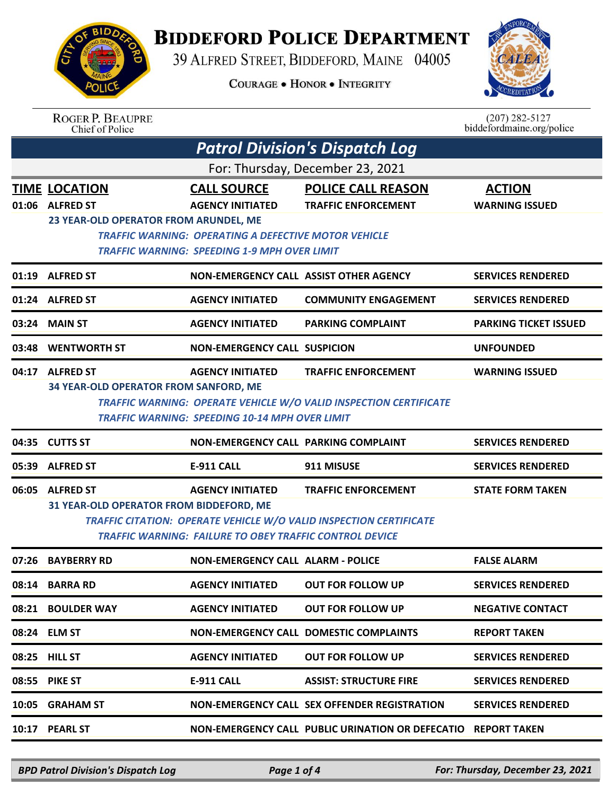

## **BIDDEFORD POLICE DEPARTMENT**

39 ALFRED STREET, BIDDEFORD, MAINE 04005

**COURAGE . HONOR . INTEGRITY** 



| <b>ROGER P. BEAUPRE</b> |
|-------------------------|
| Chief of Police         |

| $(207)$ 282-5127 |                           |
|------------------|---------------------------|
|                  | biddefordmaine.org/police |

|       | <b>Patrol Division's Dispatch Log</b>   |                                                                                                             |                                                                           |                              |  |
|-------|-----------------------------------------|-------------------------------------------------------------------------------------------------------------|---------------------------------------------------------------------------|------------------------------|--|
|       | For: Thursday, December 23, 2021        |                                                                                                             |                                                                           |                              |  |
|       | <b>TIME LOCATION</b>                    | <b>CALL SOURCE</b>                                                                                          | <b>POLICE CALL REASON</b>                                                 | <b>ACTION</b>                |  |
|       | 01:06 ALFRED ST                         | <b>AGENCY INITIATED</b>                                                                                     | <b>TRAFFIC ENFORCEMENT</b>                                                | <b>WARNING ISSUED</b>        |  |
|       | 23 YEAR-OLD OPERATOR FROM ARUNDEL, ME   |                                                                                                             |                                                                           |                              |  |
|       |                                         | TRAFFIC WARNING: OPERATING A DEFECTIVE MOTOR VEHICLE<br><b>TRAFFIC WARNING: SPEEDING 1-9 MPH OVER LIMIT</b> |                                                                           |                              |  |
|       |                                         |                                                                                                             |                                                                           |                              |  |
|       | 01:19 ALFRED ST                         | NON-EMERGENCY CALL ASSIST OTHER AGENCY                                                                      |                                                                           | <b>SERVICES RENDERED</b>     |  |
|       | 01:24 ALFRED ST                         | <b>AGENCY INITIATED</b>                                                                                     | <b>COMMUNITY ENGAGEMENT</b>                                               | <b>SERVICES RENDERED</b>     |  |
|       | 03:24 MAIN ST                           | <b>AGENCY INITIATED</b>                                                                                     | <b>PARKING COMPLAINT</b>                                                  | <b>PARKING TICKET ISSUED</b> |  |
|       | 03:48 WENTWORTH ST                      | <b>NON-EMERGENCY CALL SUSPICION</b>                                                                         |                                                                           | <b>UNFOUNDED</b>             |  |
|       | 04:17 ALFRED ST                         | <b>AGENCY INITIATED</b>                                                                                     | <b>TRAFFIC ENFORCEMENT</b>                                                | <b>WARNING ISSUED</b>        |  |
|       | 34 YEAR-OLD OPERATOR FROM SANFORD, ME   |                                                                                                             |                                                                           |                              |  |
|       |                                         |                                                                                                             | <b>TRAFFIC WARNING: OPERATE VEHICLE W/O VALID INSPECTION CERTIFICATE</b>  |                              |  |
|       |                                         | <b>TRAFFIC WARNING: SPEEDING 10-14 MPH OVER LIMIT</b>                                                       |                                                                           |                              |  |
|       | 04:35 CUTTS ST                          | NON-EMERGENCY CALL PARKING COMPLAINT                                                                        |                                                                           | <b>SERVICES RENDERED</b>     |  |
| 05:39 | <b>ALFRED ST</b>                        | <b>E-911 CALL</b>                                                                                           | 911 MISUSE                                                                | <b>SERVICES RENDERED</b>     |  |
| 06:05 | <b>ALFRED ST</b>                        | <b>AGENCY INITIATED</b>                                                                                     | <b>TRAFFIC ENFORCEMENT</b>                                                | <b>STATE FORM TAKEN</b>      |  |
|       | 31 YEAR-OLD OPERATOR FROM BIDDEFORD, ME |                                                                                                             |                                                                           |                              |  |
|       |                                         | <b>TRAFFIC WARNING: FAILURE TO OBEY TRAFFIC CONTROL DEVICE</b>                                              | <b>TRAFFIC CITATION: OPERATE VEHICLE W/O VALID INSPECTION CERTIFICATE</b> |                              |  |
|       |                                         |                                                                                                             |                                                                           |                              |  |
| 07:26 | <b>BAYBERRY RD</b>                      | NON-EMERGENCY CALL ALARM - POLICE                                                                           |                                                                           | <b>FALSE ALARM</b>           |  |
|       |                                         |                                                                                                             |                                                                           |                              |  |
|       | 08:14 BARRA RD                          | <b>AGENCY INITIATED</b>                                                                                     | <b>OUT FOR FOLLOW UP</b>                                                  | <b>SERVICES RENDERED</b>     |  |
|       | 08:21 BOULDER WAY                       | <b>AGENCY INITIATED</b>                                                                                     | <b>OUT FOR FOLLOW UP</b>                                                  | <b>NEGATIVE CONTACT</b>      |  |
|       | 08:24 ELM ST                            |                                                                                                             | NON-EMERGENCY CALL DOMESTIC COMPLAINTS                                    | <b>REPORT TAKEN</b>          |  |
|       | 08:25 HILL ST                           | <b>AGENCY INITIATED</b>                                                                                     | <b>OUT FOR FOLLOW UP</b>                                                  | <b>SERVICES RENDERED</b>     |  |
|       | <b>08:55 PIKE ST</b>                    | <b>E-911 CALL</b>                                                                                           | <b>ASSIST: STRUCTURE FIRE</b>                                             | <b>SERVICES RENDERED</b>     |  |
|       | 10:05 GRAHAM ST                         |                                                                                                             | NON-EMERGENCY CALL SEX OFFENDER REGISTRATION                              | <b>SERVICES RENDERED</b>     |  |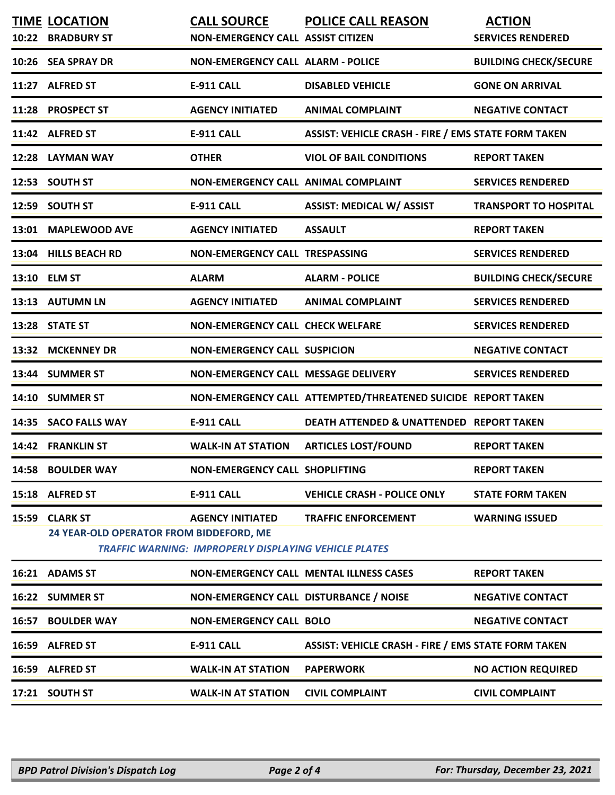|       | <b>TIME LOCATION</b><br>10:22 BRADBURY ST                  | <b>CALL SOURCE</b><br><b>NON-EMERGENCY CALL ASSIST CITIZEN</b>                          | <b>POLICE CALL REASON</b>                                    | <b>ACTION</b><br><b>SERVICES RENDERED</b> |
|-------|------------------------------------------------------------|-----------------------------------------------------------------------------------------|--------------------------------------------------------------|-------------------------------------------|
|       | 10:26 SEA SPRAY DR                                         | <b>NON-EMERGENCY CALL ALARM - POLICE</b>                                                |                                                              | <b>BUILDING CHECK/SECURE</b>              |
|       | 11:27 ALFRED ST                                            | <b>E-911 CALL</b>                                                                       | <b>DISABLED VEHICLE</b>                                      | <b>GONE ON ARRIVAL</b>                    |
|       | 11:28 PROSPECT ST                                          | <b>AGENCY INITIATED</b>                                                                 | <b>ANIMAL COMPLAINT</b>                                      | <b>NEGATIVE CONTACT</b>                   |
|       | 11:42 ALFRED ST                                            | <b>E-911 CALL</b>                                                                       | <b>ASSIST: VEHICLE CRASH - FIRE / EMS STATE FORM TAKEN</b>   |                                           |
|       | 12:28 LAYMAN WAY                                           | <b>OTHER</b>                                                                            | <b>VIOL OF BAIL CONDITIONS</b>                               | <b>REPORT TAKEN</b>                       |
|       | 12:53 SOUTH ST                                             | <b>NON-EMERGENCY CALL ANIMAL COMPLAINT</b>                                              |                                                              | <b>SERVICES RENDERED</b>                  |
|       | 12:59 SOUTH ST                                             | <b>E-911 CALL</b>                                                                       | <b>ASSIST: MEDICAL W/ ASSIST</b>                             | <b>TRANSPORT TO HOSPITAL</b>              |
|       | 13:01 MAPLEWOOD AVE                                        | <b>AGENCY INITIATED</b>                                                                 | <b>ASSAULT</b>                                               | <b>REPORT TAKEN</b>                       |
|       | 13:04 HILLS BEACH RD                                       | NON-EMERGENCY CALL TRESPASSING                                                          |                                                              | <b>SERVICES RENDERED</b>                  |
|       | 13:10 ELM ST                                               | <b>ALARM</b>                                                                            | <b>ALARM - POLICE</b>                                        | <b>BUILDING CHECK/SECURE</b>              |
|       | 13:13 AUTUMN LN                                            | <b>AGENCY INITIATED</b>                                                                 | <b>ANIMAL COMPLAINT</b>                                      | <b>SERVICES RENDERED</b>                  |
|       | 13:28 STATE ST                                             | <b>NON-EMERGENCY CALL CHECK WELFARE</b>                                                 |                                                              | <b>SERVICES RENDERED</b>                  |
| 13:32 | <b>MCKENNEY DR</b>                                         | <b>NON-EMERGENCY CALL SUSPICION</b>                                                     |                                                              | <b>NEGATIVE CONTACT</b>                   |
|       | 13:44 SUMMER ST                                            | NON-EMERGENCY CALL MESSAGE DELIVERY                                                     |                                                              | <b>SERVICES RENDERED</b>                  |
|       | 14:10 SUMMER ST                                            |                                                                                         | NON-EMERGENCY CALL ATTEMPTED/THREATENED SUICIDE REPORT TAKEN |                                           |
|       | 14:35 SACO FALLS WAY                                       | <b>E-911 CALL</b>                                                                       | DEATH ATTENDED & UNATTENDED REPORT TAKEN                     |                                           |
|       | 14:42 FRANKLIN ST                                          | <b>WALK-IN AT STATION</b>                                                               | <b>ARTICLES LOST/FOUND</b>                                   | <b>REPORT TAKEN</b>                       |
|       | 14:58 BOULDER WAY                                          | <b>NON-EMERGENCY CALL SHOPLIFTING</b>                                                   |                                                              | <b>REPORT TAKEN</b>                       |
|       | 15:18 ALFRED ST                                            | <b>E-911 CALL</b>                                                                       | <b>VEHICLE CRASH - POLICE ONLY</b>                           | <b>STATE FORM TAKEN</b>                   |
| 15:59 | <b>CLARK ST</b><br>24 YEAR-OLD OPERATOR FROM BIDDEFORD, ME | <b>AGENCY INITIATED</b><br><b>TRAFFIC WARNING: IMPROPERLY DISPLAYING VEHICLE PLATES</b> | <b>TRAFFIC ENFORCEMENT</b>                                   | <b>WARNING ISSUED</b>                     |
|       | 16:21 ADAMS ST                                             |                                                                                         | <b>NON-EMERGENCY CALL MENTAL ILLNESS CASES</b>               | <b>REPORT TAKEN</b>                       |
|       | 16:22 SUMMER ST                                            | NON-EMERGENCY CALL DISTURBANCE / NOISE                                                  |                                                              | <b>NEGATIVE CONTACT</b>                   |
| 16:57 | <b>BOULDER WAY</b>                                         | <b>NON-EMERGENCY CALL BOLO</b>                                                          |                                                              | <b>NEGATIVE CONTACT</b>                   |
|       | 16:59 ALFRED ST                                            | <b>E-911 CALL</b>                                                                       | <b>ASSIST: VEHICLE CRASH - FIRE / EMS STATE FORM TAKEN</b>   |                                           |
|       | 16:59 ALFRED ST                                            | <b>WALK-IN AT STATION</b>                                                               | <b>PAPERWORK</b>                                             | <b>NO ACTION REQUIRED</b>                 |
|       | 17:21 SOUTH ST                                             | <b>WALK-IN AT STATION</b>                                                               | <b>CIVIL COMPLAINT</b>                                       | <b>CIVIL COMPLAINT</b>                    |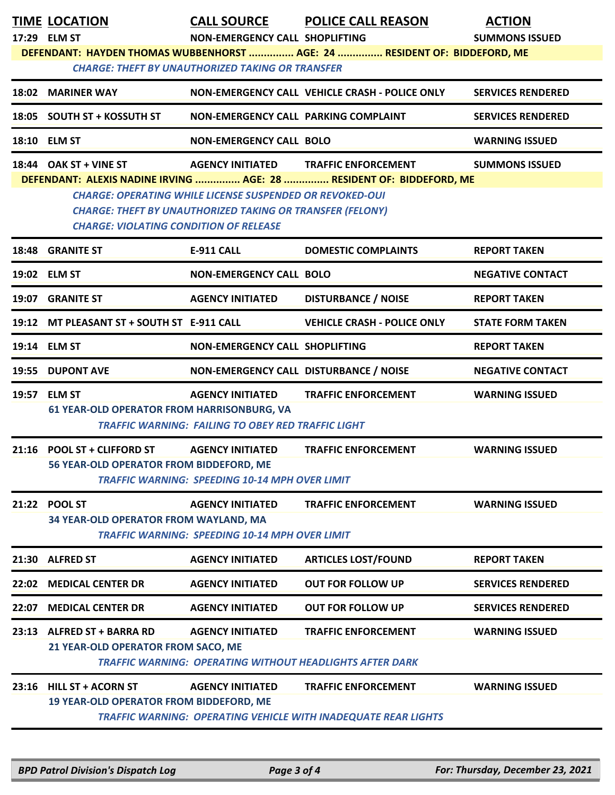|       | <b>TIME LOCATION</b><br>17:29 ELM ST                                    | NON-EMERGENCY CALL SHOPLIFTING<br><b>CHARGE: THEFT BY UNAUTHORIZED TAKING OR TRANSFER</b>                                           | <b>CALL SOURCE POLICE CALL REASON</b><br>DEFENDANT: HAYDEN THOMAS WUBBENHORST  AGE: 24  RESIDENT OF: BIDDEFORD, ME | <b>ACTION</b><br><b>SUMMONS ISSUED</b> |
|-------|-------------------------------------------------------------------------|-------------------------------------------------------------------------------------------------------------------------------------|--------------------------------------------------------------------------------------------------------------------|----------------------------------------|
|       | 18:02 MARINER WAY                                                       |                                                                                                                                     | NON-EMERGENCY CALL VEHICLE CRASH - POLICE ONLY                                                                     | <b>SERVICES RENDERED</b>               |
|       | 18:05 SOUTH ST + KOSSUTH ST                                             | NON-EMERGENCY CALL PARKING COMPLAINT                                                                                                |                                                                                                                    | <b>SERVICES RENDERED</b>               |
|       | 18:10 ELM ST                                                            | <b>NON-EMERGENCY CALL BOLO</b>                                                                                                      |                                                                                                                    | <b>WARNING ISSUED</b>                  |
|       | 18:44 OAK ST + VINE ST<br><b>CHARGE: VIOLATING CONDITION OF RELEASE</b> | <b>CHARGE: OPERATING WHILE LICENSE SUSPENDED OR REVOKED-OUI</b><br><b>CHARGE: THEFT BY UNAUTHORIZED TAKING OR TRANSFER (FELONY)</b> | AGENCY INITIATED TRAFFIC ENFORCEMENT<br>DEFENDANT: ALEXIS NADINE IRVING  AGE: 28  RESIDENT OF: BIDDEFORD, ME       | <b>SUMMONS ISSUED</b>                  |
|       | 18:48 GRANITE ST                                                        | <b>E-911 CALL</b>                                                                                                                   | <b>DOMESTIC COMPLAINTS</b>                                                                                         | <b>REPORT TAKEN</b>                    |
|       | 19:02 ELM ST                                                            | <b>NON-EMERGENCY CALL BOLO</b>                                                                                                      |                                                                                                                    | <b>NEGATIVE CONTACT</b>                |
|       | 19:07 GRANITE ST                                                        | <b>AGENCY INITIATED</b>                                                                                                             | <b>DISTURBANCE / NOISE</b>                                                                                         | <b>REPORT TAKEN</b>                    |
|       | 19:12 MT PLEASANT ST + SOUTH ST E-911 CALL                              |                                                                                                                                     | <b>VEHICLE CRASH - POLICE ONLY</b>                                                                                 | <b>STATE FORM TAKEN</b>                |
|       | 19:14 ELM ST                                                            | NON-EMERGENCY CALL SHOPLIFTING                                                                                                      |                                                                                                                    | <b>REPORT TAKEN</b>                    |
|       | 19:55 DUPONT AVE                                                        | NON-EMERGENCY CALL DISTURBANCE / NOISE                                                                                              |                                                                                                                    | <b>NEGATIVE CONTACT</b>                |
|       | 19:57 ELM ST<br><b>61 YEAR-OLD OPERATOR FROM HARRISONBURG, VA</b>       | <b>AGENCY INITIATED</b><br><b>TRAFFIC WARNING: FAILING TO OBEY RED TRAFFIC LIGHT</b>                                                | <b>TRAFFIC ENFORCEMENT</b>                                                                                         | <b>WARNING ISSUED</b>                  |
|       | 21:16 POOL ST + CLIFFORD ST<br>56 YEAR-OLD OPERATOR FROM BIDDEFORD, ME  | <b>AGENCY INITIATED</b><br><b>TRAFFIC WARNING: SPEEDING 10-14 MPH OVER LIMIT</b>                                                    | <b>TRAFFIC ENFORCEMENT</b>                                                                                         | <b>WARNING ISSUED</b>                  |
|       | 21:22 POOL ST<br>34 YEAR-OLD OPERATOR FROM WAYLAND, MA                  | <b>AGENCY INITIATED</b><br><b>TRAFFIC WARNING: SPEEDING 10-14 MPH OVER LIMIT</b>                                                    | <b>TRAFFIC ENFORCEMENT</b>                                                                                         | <b>WARNING ISSUED</b>                  |
|       | 21:30 ALFRED ST                                                         | <b>AGENCY INITIATED</b>                                                                                                             | <b>ARTICLES LOST/FOUND</b>                                                                                         | <b>REPORT TAKEN</b>                    |
|       | 22:02 MEDICAL CENTER DR                                                 | <b>AGENCY INITIATED</b>                                                                                                             | <b>OUT FOR FOLLOW UP</b>                                                                                           | <b>SERVICES RENDERED</b>               |
| 22:07 | <b>MEDICAL CENTER DR</b>                                                | <b>AGENCY INITIATED</b>                                                                                                             | <b>OUT FOR FOLLOW UP</b>                                                                                           | <b>SERVICES RENDERED</b>               |
|       | 23:13 ALFRED ST + BARRA RD<br>21 YEAR-OLD OPERATOR FROM SACO, ME        | <b>AGENCY INITIATED</b>                                                                                                             | <b>TRAFFIC ENFORCEMENT</b><br><b>TRAFFIC WARNING: OPERATING WITHOUT HEADLIGHTS AFTER DARK</b>                      | <b>WARNING ISSUED</b>                  |
|       | 23:16 HILL ST + ACORN ST<br>19 YEAR-OLD OPERATOR FROM BIDDEFORD, ME     | <b>AGENCY INITIATED</b>                                                                                                             | <b>TRAFFIC ENFORCEMENT</b><br><b>TRAFFIC WARNING: OPERATING VEHICLE WITH INADEQUATE REAR LIGHTS</b>                | <b>WARNING ISSUED</b>                  |